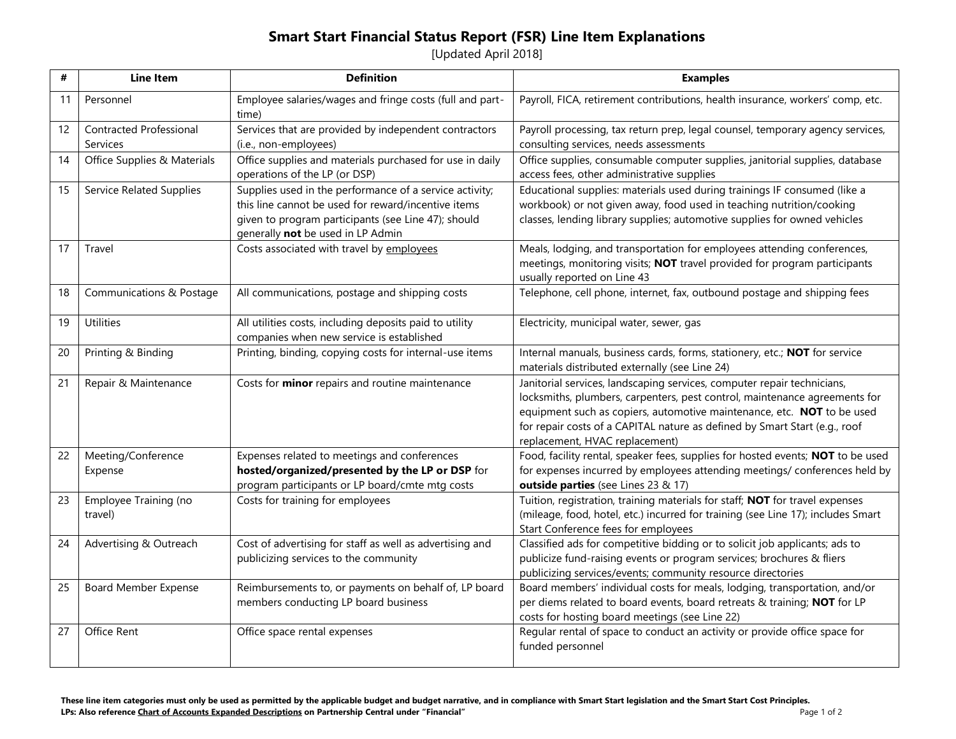## **Smart Start Financial Status Report (FSR) Line Item Explanations**

[Updated April 2018]

| #  | <b>Line Item</b>                | <b>Definition</b>                                                 | <b>Examples</b>                                                                                                                                      |
|----|---------------------------------|-------------------------------------------------------------------|------------------------------------------------------------------------------------------------------------------------------------------------------|
| 11 | Personnel                       | Employee salaries/wages and fringe costs (full and part-<br>time) | Payroll, FICA, retirement contributions, health insurance, workers' comp, etc.                                                                       |
| 12 | <b>Contracted Professional</b>  | Services that are provided by independent contractors             | Payroll processing, tax return prep, legal counsel, temporary agency services,                                                                       |
|    | Services                        | (i.e., non-employees)                                             | consulting services, needs assessments                                                                                                               |
| 14 | Office Supplies & Materials     | Office supplies and materials purchased for use in daily          | Office supplies, consumable computer supplies, janitorial supplies, database                                                                         |
|    |                                 | operations of the LP (or DSP)                                     | access fees, other administrative supplies                                                                                                           |
| 15 | <b>Service Related Supplies</b> | Supplies used in the performance of a service activity;           | Educational supplies: materials used during trainings IF consumed (like a                                                                            |
|    |                                 | this line cannot be used for reward/incentive items               | workbook) or not given away, food used in teaching nutrition/cooking                                                                                 |
|    |                                 | given to program participants (see Line 47); should               | classes, lending library supplies; automotive supplies for owned vehicles                                                                            |
| 17 | Travel                          | generally not be used in LP Admin                                 |                                                                                                                                                      |
|    |                                 | Costs associated with travel by employees                         | Meals, lodging, and transportation for employees attending conferences,<br>meetings, monitoring visits; NOT travel provided for program participants |
|    |                                 |                                                                   | usually reported on Line 43                                                                                                                          |
| 18 | Communications & Postage        | All communications, postage and shipping costs                    | Telephone, cell phone, internet, fax, outbound postage and shipping fees                                                                             |
|    |                                 |                                                                   |                                                                                                                                                      |
| 19 | <b>Utilities</b>                | All utilities costs, including deposits paid to utility           | Electricity, municipal water, sewer, gas                                                                                                             |
|    |                                 | companies when new service is established                         |                                                                                                                                                      |
| 20 | Printing & Binding              | Printing, binding, copying costs for internal-use items           | Internal manuals, business cards, forms, stationery, etc.; NOT for service                                                                           |
|    |                                 |                                                                   | materials distributed externally (see Line 24)                                                                                                       |
| 21 | Repair & Maintenance            | Costs for <b>minor</b> repairs and routine maintenance            | Janitorial services, landscaping services, computer repair technicians,                                                                              |
|    |                                 |                                                                   | locksmiths, plumbers, carpenters, pest control, maintenance agreements for                                                                           |
|    |                                 |                                                                   | equipment such as copiers, automotive maintenance, etc. NOT to be used                                                                               |
|    |                                 |                                                                   | for repair costs of a CAPITAL nature as defined by Smart Start (e.g., roof<br>replacement, HVAC replacement)                                         |
| 22 | Meeting/Conference              | Expenses related to meetings and conferences                      | Food, facility rental, speaker fees, supplies for hosted events; NOT to be used                                                                      |
|    | Expense                         | hosted/organized/presented by the LP or DSP for                   | for expenses incurred by employees attending meetings/ conferences held by                                                                           |
|    |                                 | program participants or LP board/cmte mtg costs                   | outside parties (see Lines 23 & 17)                                                                                                                  |
| 23 | Employee Training (no           | Costs for training for employees                                  | Tuition, registration, training materials for staff; NOT for travel expenses                                                                         |
|    | travel)                         |                                                                   | (mileage, food, hotel, etc.) incurred for training (see Line 17); includes Smart                                                                     |
|    |                                 |                                                                   | Start Conference fees for employees                                                                                                                  |
| 24 | Advertising & Outreach          | Cost of advertising for staff as well as advertising and          | Classified ads for competitive bidding or to solicit job applicants; ads to                                                                          |
|    |                                 | publicizing services to the community                             | publicize fund-raising events or program services; brochures & fliers                                                                                |
|    |                                 |                                                                   | publicizing services/events; community resource directories                                                                                          |
| 25 | <b>Board Member Expense</b>     | Reimbursements to, or payments on behalf of, LP board             | Board members' individual costs for meals, lodging, transportation, and/or                                                                           |
|    |                                 | members conducting LP board business                              | per diems related to board events, board retreats & training; NOT for LP                                                                             |
| 27 | <b>Office Rent</b>              | Office space rental expenses                                      | costs for hosting board meetings (see Line 22)<br>Regular rental of space to conduct an activity or provide office space for                         |
|    |                                 |                                                                   | funded personnel                                                                                                                                     |
|    |                                 |                                                                   |                                                                                                                                                      |